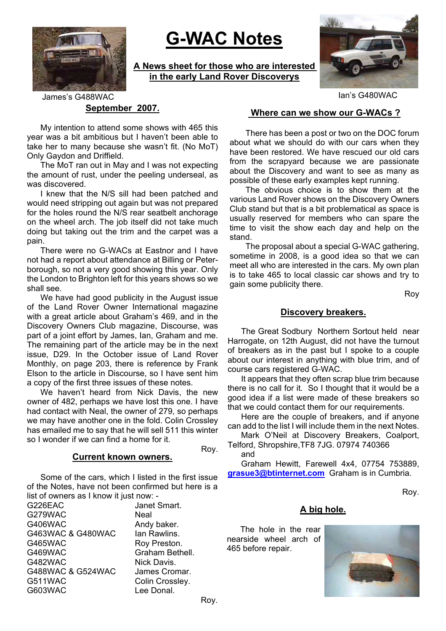

# **G-WAC Notes**

**A News sheet for those who are interested in the early Land Rover Discoverys**



Ian's G480WAC

**September 2007.** James's G488WAC

My intention to attend some shows with 465 this year was a bit ambitious but I haven't been able to take her to many because she wasn't fit. (No MoT) Only Gaydon and Driffield.

The MoT ran out in May and I was not expecting the amount of rust, under the peeling underseal, as was discovered.

I knew that the N/S sill had been patched and would need stripping out again but was not prepared for the holes round the N/S rear seatbelt anchorage on the wheel arch. The job itself did not take much doing but taking out the trim and the carpet was a pain.

There were no G-WACs at Eastnor and I have not had a report about attendance at Billing or Peterborough, so not a very good showing this year. Only the London to Brighton left for this years shows so we shall see.

We have had good publicity in the August issue of the Land Rover Owner International magazine with a great article about Graham's 469, and in the Discovery Owners Club magazine, Discourse, was part of a joint effort by James, Ian, Graham and me. The remaining part of the article may be in the next issue, D29. In the October issue of Land Rover Monthly, on page 203, there is reference by Frank Elson to the article in Discourse, so I have sent him a copy of the first three issues of these notes.

We haven't heard from Nick Davis, the new owner of 482, perhaps we have lost this one. I have had contact with Neal, the owner of 279, so perhaps we may have another one in the fold. Colin Crossley has emailed me to say that he will sell 511 this winter so I wonder if we can find a home for it.

#### **Current known owners.**

Some of the cars, which I listed in the first issue of the Notes, have not been confirmed but here is a list of owners as I know it just now: -

G226EAC Janet Smart. G279WAC Neal G406WAC Andy baker. G463WAC & G480WAC lan Rawlins. G465WAC Roy Preston. G469WAC Graham Bethell. G482WAC Nick Davis. G488WAC & G524WAC James Cromar. G511WAC Colin Crosslev. G603WAC Lee Donal.

#### **Where can we show our G-WACs ?**

There has been a post or two on the DOC forum about what we should do with our cars when they have been restored. We have rescued our old cars from the scrapyard because we are passionate about the Discovery and want to see as many as possible of these early examples kept running.

The obvious choice is to show them at the various Land Rover shows on the Discovery Owners Club stand but that is a bit problematical as space is usually reserved for members who can spare the time to visit the show each day and help on the stand.

The proposal about a special G-WAC gathering, sometime in 2008, is a good idea so that we can meet all who are interested in the cars. My own plan is to take 465 to local classic car shows and try to gain some publicity there.

Roy

### **Discovery breakers.**

The Great Sodbury Northern Sortout held near Harrogate, on 12th August, did not have the turnout of breakers as in the past but I spoke to a couple about our interest in anything with blue trim, and of course cars registered G-WAC.

It appears that they often scrap blue trim because there is no call for it. So I thought that it would be a good idea if a list were made of these breakers so that we could contact them for our requirements.

Here are the couple of breakers, and if anyone can add to the list I will include them in the next Notes.

Mark O'Neil at Discovery Breakers, Coalport, Telford, Shropshire,TF8 7JG. 07974 740366 and

Roy.

Graham Hewitt, Farewell 4x4, 07754 753889, **grasue3@btinternet.com** Graham is in Cumbria.

Roy.

#### **A big hole.**

The hole in the rear nearside wheel arch of 465 before repair.